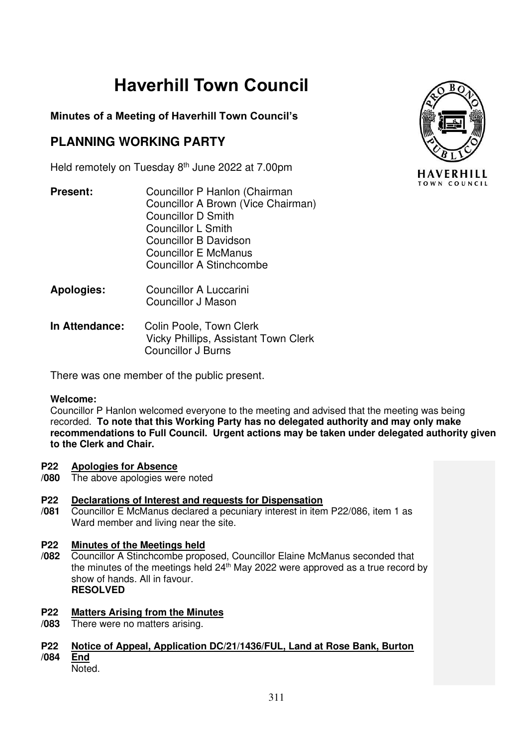# **Haverhill Town Council**

## **Minutes of a Meeting of Haverhill Town Council's**

# **PLANNING WORKING PARTY**

Held remotely on Tuesday 8<sup>th</sup> June 2022 at 7.00pm

- **Present:** Councillor P Hanlon (Chairman Councillor A Brown (Vice Chairman) Councillor D Smith Councillor L Smith Councillor B Davidson Councillor E McManus Councillor A Stinchcombe
- **Apologies:** Councillor A Luccarini Councillor J Mason
- **In Attendance:** Colin Poole, Town Clerk Vicky Phillips, Assistant Town Clerk Councillor J Burns

There was one member of the public present.

### **Welcome:**

Councillor P Hanlon welcomed everyone to the meeting and advised that the meeting was being recorded. **To note that this Working Party has no delegated authority and may only make recommendations to Full Council. Urgent actions may be taken under delegated authority given to the Clerk and Chair.** 

#### **P22 Apologies for Absence**

**/080** The above apologies were noted

#### **P22 Declarations of Interest and requests for Dispensation**

**/081** Councillor E McManus declared a pecuniary interest in item P22/086, item 1 as Ward member and living near the site.

#### **P22 Minutes of the Meetings held**

**/082** Councillor A Stinchcombe proposed, Councillor Elaine McManus seconded that the minutes of the meetings held 24<sup>th</sup> May 2022 were approved as a true record by show of hands. All in favour. **RESOLVED** 

#### **P22 Matters Arising from the Minutes**

**/083** There were no matters arising.

#### **P22 /084 Notice of Appeal, Application DC/21/1436/FUL, Land at Rose Bank, Burton End**

Noted.

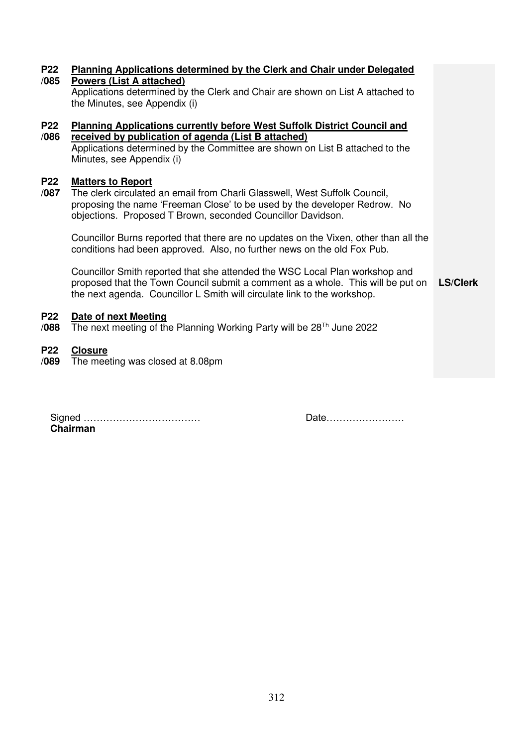| <b>P22</b><br>/085 | <b>Planning Applications determined by the Clerk and Chair under Delegated</b><br><b>Powers (List A attached)</b><br>Applications determined by the Clerk and Chair are shown on List A attached to<br>the Minutes, see Appendix (i) |                 |
|--------------------|--------------------------------------------------------------------------------------------------------------------------------------------------------------------------------------------------------------------------------------|-----------------|
| <b>P22</b>         | <b>Planning Applications currently before West Suffolk District Council and</b>                                                                                                                                                      |                 |
| /086               | received by publication of agenda (List B attached)                                                                                                                                                                                  |                 |
|                    | Applications determined by the Committee are shown on List B attached to the<br>Minutes, see Appendix (i)                                                                                                                            |                 |
|                    |                                                                                                                                                                                                                                      |                 |
| <b>P22</b><br>/087 | <b>Matters to Report</b><br>The clerk circulated an email from Charli Glasswell, West Suffolk Council,                                                                                                                               |                 |
|                    | proposing the name 'Freeman Close' to be used by the developer Redrow. No                                                                                                                                                            |                 |
|                    | objections. Proposed T Brown, seconded Councillor Davidson.                                                                                                                                                                          |                 |
|                    |                                                                                                                                                                                                                                      |                 |
|                    | Councillor Burns reported that there are no updates on the Vixen, other than all the                                                                                                                                                 |                 |
|                    | conditions had been approved. Also, no further news on the old Fox Pub.                                                                                                                                                              |                 |
|                    |                                                                                                                                                                                                                                      |                 |
|                    | Councillor Smith reported that she attended the WSC Local Plan workshop and                                                                                                                                                          |                 |
|                    | proposed that the Town Council submit a comment as a whole. This will be put on                                                                                                                                                      | <b>LS/Clerk</b> |
|                    | the next agenda. Councillor L Smith will circulate link to the workshop.                                                                                                                                                             |                 |
| <b>P22</b>         | Date of next Meeting                                                                                                                                                                                                                 |                 |
| /088               | The next meeting of the Planning Working Party will be $28^{Th}$ June 2022                                                                                                                                                           |                 |
|                    |                                                                                                                                                                                                                                      |                 |
| <b>P22</b>         | <b>Closure</b>                                                                                                                                                                                                                       |                 |
| /089               | The meeting was closed at 8.08pm                                                                                                                                                                                                     |                 |
|                    |                                                                                                                                                                                                                                      |                 |
|                    |                                                                                                                                                                                                                                      |                 |
|                    |                                                                                                                                                                                                                                      |                 |

| Chairman |  |  |  |  |
|----------|--|--|--|--|

Date……………………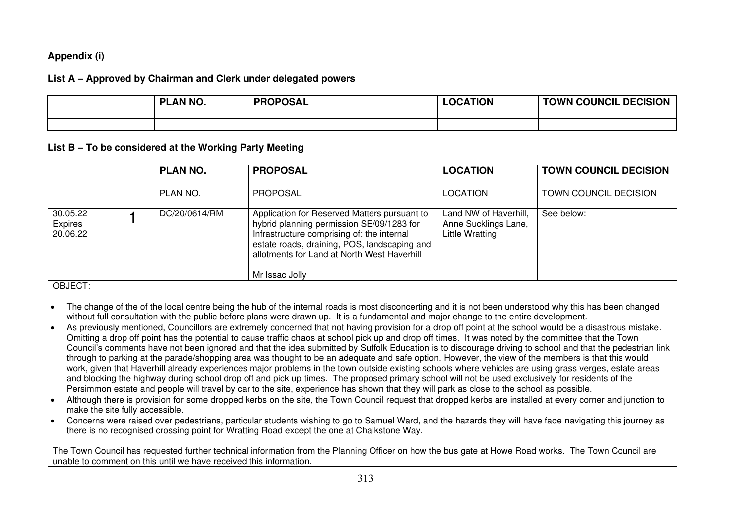### **Appendix (i)**

### **List A – Approved by Chairman and Clerk under delegated powers**

|  | <b>PLAN NO.</b> | <b>PROPOSAL</b> | <b>LOCATION</b> | <b>TOWN COUNCIL DECISION</b> |
|--|-----------------|-----------------|-----------------|------------------------------|
|  |                 |                 |                 |                              |

### **List B – To be considered at the Working Party Meeting**

|                                 | <b>PLAN NO.</b> | <b>PROPOSAL</b>                                                                                                                                                                                                                                          | <b>LOCATION</b>                                                         | <b>TOWN COUNCIL DECISION</b> |
|---------------------------------|-----------------|----------------------------------------------------------------------------------------------------------------------------------------------------------------------------------------------------------------------------------------------------------|-------------------------------------------------------------------------|------------------------------|
|                                 | PLAN NO.        | <b>PROPOSAL</b>                                                                                                                                                                                                                                          | <b>LOCATION</b>                                                         | TOWN COUNCIL DECISION        |
| 30.05.22<br>Expires<br>20.06.22 | DC/20/0614/RM   | Application for Reserved Matters pursuant to<br>hybrid planning permission SE/09/1283 for<br>Infrastructure comprising of: the internal<br>estate roads, draining, POS, landscaping and<br>allotments for Land at North West Haverhill<br>Mr Issac Jolly | Land NW of Haverhill,<br>Anne Sucklings Lane,<br><b>Little Wratting</b> | See below:                   |

OBJECT:

- The change of the of the local centre being the hub of the internal roads is most disconcerting and it is not been understood why this has been changed without full consultation with the public before plans were drawn up. It is a fundamental and major change to the entire development.
- As previously mentioned, Councillors are extremely concerned that not having provision for a drop off point at the school would be a disastrous mistake. Omitting a drop off point has the potential to cause traffic chaos at school pick up and drop off times. It was noted by the committee that the Town Council's comments have not been ignored and that the idea submitted by Suffolk Education is to discourage driving to school and that the pedestrian link through to parking at the parade/shopping area was thought to be an adequate and safe option. However, the view of the members is that this would work, given that Haverhill already experiences major problems in the town outside existing schools where vehicles are using grass verges, estate areas and blocking the highway during school drop off and pick up times. The proposed primary school will not be used exclusively for residents of the Persimmon estate and people will travel by car to the site, experience has shown that they will park as close to the school as possible.
- Although there is provision for some dropped kerbs on the site, the Town Council request that dropped kerbs are installed at every corner and junction to make the site fully accessible.
- Concerns were raised over pedestrians, particular students wishing to go to Samuel Ward, and the hazards they will have face navigating this journey as there is no recognised crossing point for Wratting Road except the one at Chalkstone Way.

The Town Council has requested further technical information from the Planning Officer on how the bus gate at Howe Road works. The Town Council are unable to comment on this until we have received this information.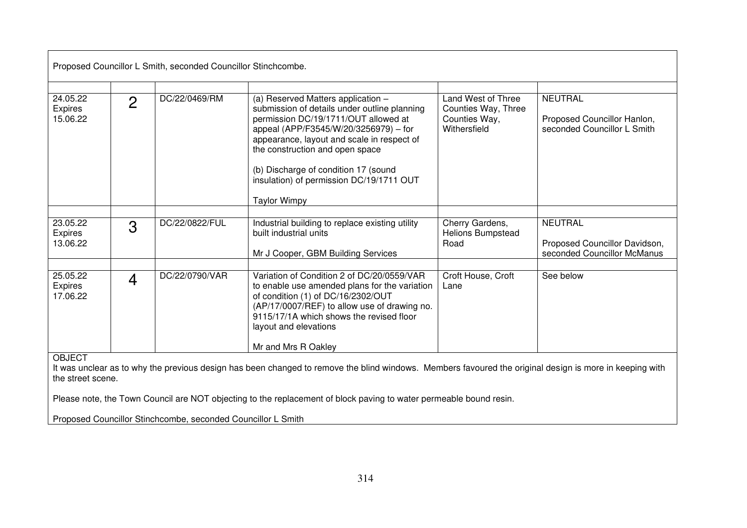| Proposed Councillor L Smith, seconded Councillor Stinchcombe.                                                                                                                                                                                                                                                       |                |                |                                                                                                                                                                                                                                                                                                                                                                 |                                                                            |                                                                                |  |
|---------------------------------------------------------------------------------------------------------------------------------------------------------------------------------------------------------------------------------------------------------------------------------------------------------------------|----------------|----------------|-----------------------------------------------------------------------------------------------------------------------------------------------------------------------------------------------------------------------------------------------------------------------------------------------------------------------------------------------------------------|----------------------------------------------------------------------------|--------------------------------------------------------------------------------|--|
| 24.05.22<br>Expires<br>15.06.22                                                                                                                                                                                                                                                                                     | $\overline{2}$ | DC/22/0469/RM  | (a) Reserved Matters application -<br>submission of details under outline planning<br>permission DC/19/1711/OUT allowed at<br>appeal (APP/F3545/W/20/3256979) - for<br>appearance, layout and scale in respect of<br>the construction and open space<br>(b) Discharge of condition 17 (sound<br>insulation) of permission DC/19/1711 OUT<br><b>Taylor Wimpy</b> | Land West of Three<br>Counties Way, Three<br>Counties Way,<br>Withersfield | <b>NEUTRAL</b><br>Proposed Councillor Hanlon,<br>seconded Councillor L Smith   |  |
| 23.05.22<br><b>Expires</b><br>13.06.22                                                                                                                                                                                                                                                                              | 3              | DC/22/0822/FUL | Industrial building to replace existing utility<br>built industrial units<br>Mr J Cooper, GBM Building Services                                                                                                                                                                                                                                                 | Cherry Gardens,<br><b>Helions Bumpstead</b><br>Road                        | <b>NEUTRAL</b><br>Proposed Councillor Davidson,<br>seconded Councillor McManus |  |
| 25.05.22<br>Expires<br>17.06.22                                                                                                                                                                                                                                                                                     | 4              | DC/22/0790/VAR | Variation of Condition 2 of DC/20/0559/VAR<br>to enable use amended plans for the variation<br>of condition (1) of DC/16/2302/OUT<br>(AP/17/0007/REF) to allow use of drawing no.<br>9115/17/1A which shows the revised floor<br>layout and elevations<br>Mr and Mrs R Oakley                                                                                   | Croft House, Croft<br>Lane                                                 | See below                                                                      |  |
| <b>OBJECT</b><br>It was unclear as to why the previous design has been changed to remove the blind windows. Members favoured the original design is more in keeping with<br>the street scene.<br>Please note, the Town Council are NOT objecting to the replacement of block paving to water permeable bound resin. |                |                |                                                                                                                                                                                                                                                                                                                                                                 |                                                                            |                                                                                |  |

Proposed Councillor Stinchcombe, seconded Councillor L Smith

 $\overline{\phantom{a}}$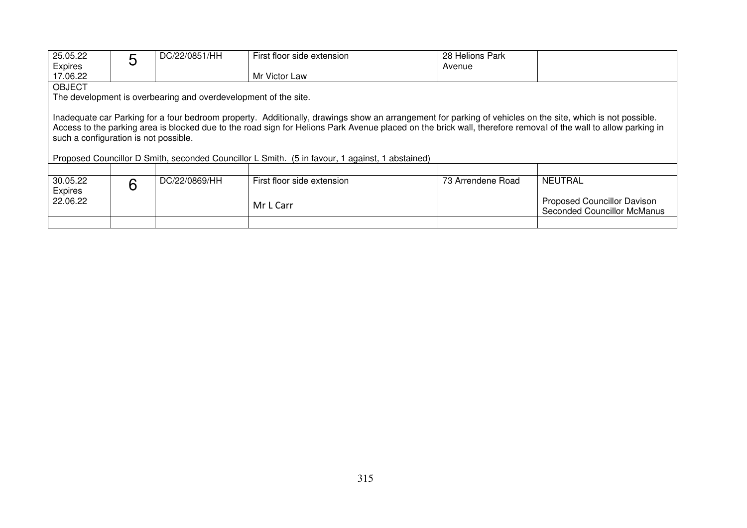| 25.05.22                                                                                        | 5                                     | DC/22/0851/HH                                                   | First floor side extension                                                                                                                                     | 28 Helions Park   |                                    |  |  |
|-------------------------------------------------------------------------------------------------|---------------------------------------|-----------------------------------------------------------------|----------------------------------------------------------------------------------------------------------------------------------------------------------------|-------------------|------------------------------------|--|--|
| <b>Expires</b>                                                                                  |                                       |                                                                 |                                                                                                                                                                | Avenue            |                                    |  |  |
| 17.06.22                                                                                        |                                       |                                                                 | Mr Victor Law                                                                                                                                                  |                   |                                    |  |  |
| <b>OBJECT</b>                                                                                   |                                       |                                                                 |                                                                                                                                                                |                   |                                    |  |  |
|                                                                                                 |                                       | The development is overbearing and overdevelopment of the site. |                                                                                                                                                                |                   |                                    |  |  |
|                                                                                                 |                                       |                                                                 |                                                                                                                                                                |                   |                                    |  |  |
|                                                                                                 |                                       |                                                                 | Inadequate car Parking for a four bedroom property. Additionally, drawings show an arrangement for parking of vehicles on the site, which is not possible.     |                   |                                    |  |  |
|                                                                                                 |                                       |                                                                 | Access to the parking area is blocked due to the road sign for Helions Park Avenue placed on the brick wall, therefore removal of the wall to allow parking in |                   |                                    |  |  |
|                                                                                                 |                                       |                                                                 |                                                                                                                                                                |                   |                                    |  |  |
|                                                                                                 | such a configuration is not possible. |                                                                 |                                                                                                                                                                |                   |                                    |  |  |
| Proposed Councillor D Smith, seconded Councillor L Smith. (5 in favour, 1 against, 1 abstained) |                                       |                                                                 |                                                                                                                                                                |                   |                                    |  |  |
|                                                                                                 |                                       |                                                                 |                                                                                                                                                                |                   |                                    |  |  |
|                                                                                                 |                                       |                                                                 |                                                                                                                                                                |                   |                                    |  |  |
| 30.05.22                                                                                        | 6                                     | DC/22/0869/HH                                                   | First floor side extension                                                                                                                                     | 73 Arrendene Road | NEUTRAL                            |  |  |
| Expires                                                                                         |                                       |                                                                 |                                                                                                                                                                |                   |                                    |  |  |
| 22.06.22                                                                                        |                                       |                                                                 | Mr L Carr                                                                                                                                                      |                   | Proposed Councillor Davison        |  |  |
|                                                                                                 |                                       |                                                                 |                                                                                                                                                                |                   | <b>Seconded Councillor McManus</b> |  |  |
|                                                                                                 |                                       |                                                                 |                                                                                                                                                                |                   |                                    |  |  |